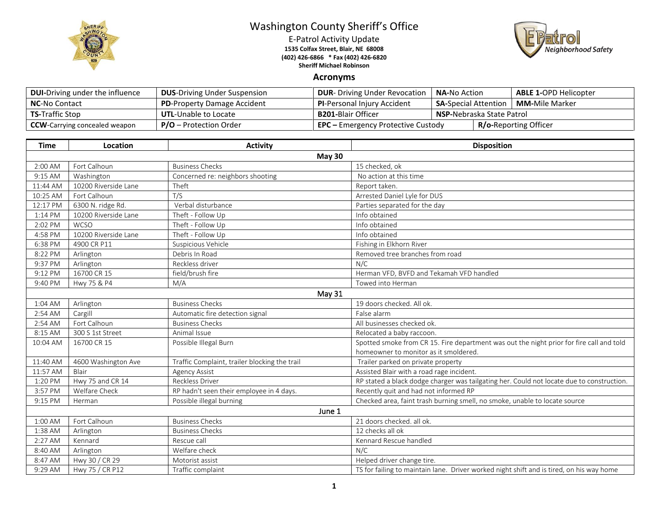

## Washington County Sheriff's Office

E-Patrol Activity Update **1535 Colfax Street, Blair, NE 68008 (402) 426-6866 \* Fax (402) 426-6820 Sheriff Michael Robinson**



## **Acronyms**

| <b>DUI-Driving under the influence</b> | <b>DUS-Driving Under Suspension</b> | <b>DUR-</b> Driving Under Revocation      | <b>NA-No Action</b>                                    |  | <b>ABLE 1-OPD Helicopter</b> |
|----------------------------------------|-------------------------------------|-------------------------------------------|--------------------------------------------------------|--|------------------------------|
| <b>NC-No Contact</b>                   | <b>PD-Property Damage Accident</b>  | <b>PI-Personal Injury Accident</b>        | <b>SA-</b> Special Attention<br><b>MM-</b> Mile Marker |  |                              |
| <b>TS-Traffic Stop</b>                 | <b>UTL-Unable to Locate</b>         | <b>B201-</b> Blair Officer                | <b>NSP-Nebraska State Patrol</b>                       |  |                              |
| <b>CCW</b> -Carrying concealed weapon  | $P/O -$ Protection Order            | <b>EPC</b> – Emergency Protective Custody |                                                        |  | <b>R/o-Reporting Officer</b> |

| <b>Time</b> | Location             | <b>Activity</b>                               | <b>Disposition</b>                                                                                                                |  |  |  |
|-------------|----------------------|-----------------------------------------------|-----------------------------------------------------------------------------------------------------------------------------------|--|--|--|
|             | <b>May 30</b>        |                                               |                                                                                                                                   |  |  |  |
| 2:00 AM     | Fort Calhoun         | <b>Business Checks</b>                        | 15 checked, ok                                                                                                                    |  |  |  |
| 9:15 AM     | Washington           | Concerned re: neighbors shooting              | No action at this time                                                                                                            |  |  |  |
| 11:44 AM    | 10200 Riverside Lane | Theft                                         | Report taken.                                                                                                                     |  |  |  |
| 10:25 AM    | Fort Calhoun         | T/S                                           | Arrested Daniel Lyle for DUS                                                                                                      |  |  |  |
| 12:17 PM    | 6300 N. ridge Rd.    | Verbal disturbance                            | Parties separated for the day                                                                                                     |  |  |  |
| 1:14 PM     | 10200 Riverside Lane | Theft - Follow Up                             | Info obtained                                                                                                                     |  |  |  |
| 2:02 PM     | <b>WCSO</b>          | Theft - Follow Up                             | Info obtained                                                                                                                     |  |  |  |
| 4:58 PM     | 10200 Riverside Lane | Theft - Follow Up                             | Info obtained                                                                                                                     |  |  |  |
| 6:38 PM     | 4900 CR P11          | Suspicious Vehicle                            | Fishing in Elkhorn River                                                                                                          |  |  |  |
| 8:22 PM     | Arlington            | Debris In Road                                | Removed tree branches from road                                                                                                   |  |  |  |
| 9:37 PM     | Arlington            | Reckless driver                               | N/C                                                                                                                               |  |  |  |
| 9:12 PM     | 16700 CR 15          | field/brush fire                              | Herman VFD, BVFD and Tekamah VFD handled                                                                                          |  |  |  |
| 9:40 PM     | Hwy 75 & P4          | M/A                                           | Towed into Herman                                                                                                                 |  |  |  |
| May 31      |                      |                                               |                                                                                                                                   |  |  |  |
| 1:04 AM     | Arlington            | <b>Business Checks</b>                        | 19 doors checked. All ok.                                                                                                         |  |  |  |
| 2:54 AM     | Cargill              | Automatic fire detection signal               | False alarm                                                                                                                       |  |  |  |
| 2:54 AM     | Fort Calhoun         | <b>Business Checks</b>                        | All businesses checked ok.                                                                                                        |  |  |  |
| 8:15 AM     | 300 S 1st Street     | Animal Issue                                  | Relocated a baby raccoon.                                                                                                         |  |  |  |
| 10:04 AM    | 16700 CR 15          | Possible Illegal Burn                         | Spotted smoke from CR 15. Fire department was out the night prior for fire call and told<br>homeowner to monitor as it smoldered. |  |  |  |
| 11:40 AM    | 4600 Washington Ave  | Traffic Complaint, trailer blocking the trail | Trailer parked on private property                                                                                                |  |  |  |
| 11:57 AM    | Blair                | <b>Agency Assist</b>                          | Assisted Blair with a road rage incident.                                                                                         |  |  |  |
| 1:20 PM     | Hwy 75 and CR 14     | <b>Reckless Driver</b>                        | RP stated a black dodge charger was tailgating her. Could not locate due to construction.                                         |  |  |  |
| 3:57 PM     | Welfare Check        | RP hadn't seen their employee in 4 days.      | Recently quit and had not informed RP                                                                                             |  |  |  |
| 9:15 PM     | Herman               | Possible illegal burning                      | Checked area, faint trash burning smell, no smoke, unable to locate source                                                        |  |  |  |
| June 1      |                      |                                               |                                                                                                                                   |  |  |  |
| 1:00 AM     | Fort Calhoun         | <b>Business Checks</b>                        | 21 doors checked. all ok.                                                                                                         |  |  |  |
| 1:38 AM     | Arlington            | <b>Business Checks</b>                        | 12 checks all ok                                                                                                                  |  |  |  |
| 2:27 AM     | Kennard              | Rescue call                                   | Kennard Rescue handled                                                                                                            |  |  |  |
| 8:40 AM     | Arlington            | Welfare check                                 | N/C                                                                                                                               |  |  |  |
| 8:47 AM     | Hwy 30 / CR 29       | Motorist assist                               | Helped driver change tire.                                                                                                        |  |  |  |
| 9:29 AM     | Hwy 75 / CR P12      | Traffic complaint                             | TS for failing to maintain lane. Driver worked night shift and is tired, on his way home                                          |  |  |  |